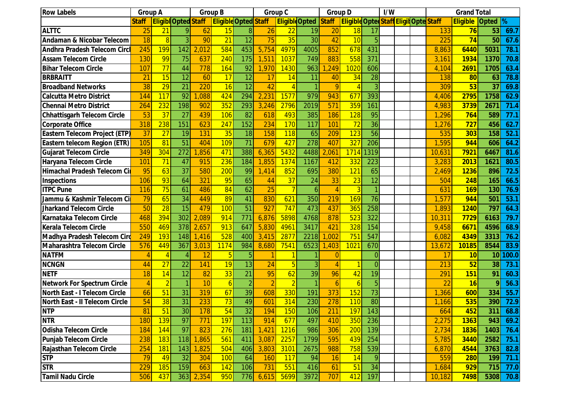| <b>Row Labels</b>                     | <b>Group A</b> |                |                            | <b>Group B</b> |                             |                 | Group C        |                       |                 | <b>Group D</b> | I/W                                           |                |  | <b>Grand Total</b> |  |           |                 |       |       |
|---------------------------------------|----------------|----------------|----------------------------|----------------|-----------------------------|-----------------|----------------|-----------------------|-----------------|----------------|-----------------------------------------------|----------------|--|--------------------|--|-----------|-----------------|-------|-------|
|                                       | <b>Staff</b>   |                | <b>Eligibl Opted Staff</b> |                | <b>Eligible Opted Staff</b> |                 |                | <b>Eligible</b> Opted |                 | <b>Staff</b>   | <b>Eligible Opted Staff Eligit Opte Staff</b> |                |  |                    |  |           | <b>Eligible</b> | Opted | %     |
| <b>ALTTC</b>                          | 25             | 21             | <sup>o</sup>               | 62             | 15                          | 8               | 26             | 22                    | 19              | 20             | 18                                            | 17             |  |                    |  | 133       | 76              | 53    | 69.7  |
| <b>Andaman &amp; Nicobar Telecom</b>  | 18             | 8              |                            | 90             | 21                          | 12              | 75             | 35                    | $\overline{30}$ | 42             | 10                                            | 5              |  |                    |  | 225       | 74              | 50    | 67.6  |
| <b>Andhra Pradesh Telecom Circ</b>    | 245            | 199            | 142                        | 2,012          | 584                         | 453             | 5,754          | 4979                  | 4005            | 852            | 678                                           | 431            |  |                    |  | 8,863     | 6440            | 5031  | 78.1  |
| <b>Assam Telecom Circle</b>           | 130            | 99             | 75                         | 637            | 240                         | 175             | 1,511          | 1037                  | 749             | 883            | 558                                           | 371            |  |                    |  | 3,161     | 1934            | 1370  | 70.8  |
| <b>Bihar Telecom Circle</b>           | 107            | 77             | 44                         | 778            | 164                         | 92              | 1,970          | 1430                  | 963             | ,249           | 1020                                          | 606            |  |                    |  | 4,104     | 2691            | 1705  | 63.4  |
| <b>BRBRAITT</b>                       | 21             | 15             | 12                         | 60             | 17                          | 12              | 17             | 14                    | 11              | 40             | 34                                            | 28             |  |                    |  | 138       | 80              | 63    | 78.8  |
| <b>Broadband Networks</b>             | 38             | 29             | 21                         | 220            | 16                          | 12              | 42             |                       |                 | $\Omega$       |                                               | 3              |  |                    |  | 309       | 53              | 37    | 69.8  |
| <b>Calcutta Metro District</b>        | 144            | 117            | 92                         | ,088           | 424                         | 294             | 2,23'          | 1577                  | 979             | 943            | 677                                           | 393            |  |                    |  | ,406      | 2795            | 1758  | 62.9  |
| <b>Chennai Metro District</b>         | 264            | 232            | 198                        | 902            | 352                         | 293             | 3,246          | 2796                  | 2019            | 571            | 359                                           | 161            |  |                    |  | 4,983     | 3739            | 2671  | 71.4  |
| <b>Chhattisgarh Telecom Circle</b>    | 53             | 37             | $\overline{27}$            | 439            | 106                         | 82              | 618            | 493                   | 385             | 186            | <b>128</b>                                    | 95             |  |                    |  | ,296      | 764             | 589   | 77.1  |
| <b>Corporate Office</b>               | 318            | 238            | 151                        | 623            | 247                         | 152             | 234            | 170                   | 117             | 101            | 72                                            | 36             |  |                    |  | ,276      | 727             | 456   | 62.7  |
| <b>Eastern Telecom Project (ETP)</b>  | 37             | 27             | 19                         | 131            | 35                          | 18              | 158            | <b>118</b>            | 65              | 209            | 123                                           | 56             |  |                    |  | 535       | 303             | 158   | 52.1  |
| <b>Eastern telecom Region (ETR)</b>   | 105            | 81             | 51                         | 404            | 109                         | 71              | 679            | 427                   | 278             | 407            | 327                                           | 206            |  |                    |  | ,595      | 944             | 606   | 64.2  |
| <b>Gujarat Telecom Circle</b>         | 349            | 304            | 272                        | ,856           | 471                         | 388             | 6,365          | 5432                  | 4488            | $2,06^{\circ}$ | 1714                                          | 319            |  |                    |  | 10,631    | <b>7921</b>     | 6467  | 81.6  |
| Haryana Telecom Circle                | 101            | 71             | 47                         | 915            | 236                         | 184             | 1,855          | 1374                  | 1167            | 412            | 332                                           | 223            |  |                    |  | 3,283     | 2013            | 1621  | 80.5  |
| Himachal Pradesh Telecom Cil          | 95             | 63             | 37                         | 580            | 200                         | 99              | 1,414          | 852                   | 695             | 380            | 121                                           | 65             |  |                    |  | 2,469     | 1236            | 896   | 72.5  |
| Inspections                           | 106            | 93             | 64                         | 321            | 95                          | 65              | 44             | 37                    | 24              | 33             | 23                                            | 12             |  |                    |  | 504       | 248             | 165   | 66.5  |
| <b>ITPC Pune</b>                      | <b>116</b>     | 75             | 61                         | 486            | 84                          | 62              | 25             |                       | 6               |                | $\overline{3}$                                |                |  |                    |  | 631       | <b>169</b>      | 130   | 76.9  |
| Jammu & Kashmir Telecom Ci            | 79             | 65             | 34                         | 449            | 89                          | 41              | 830            | 621                   | 350             | 219            | 169                                           | 76             |  |                    |  | ,577      | 944             | 501   | 53.1  |
| <b>Jharkand Telecom Circle</b>        | 50             | 28             | 15                         | 479            | 100                         | 51              | 927            | 747                   | 473             | 437            | 365                                           | 258            |  |                    |  | ,893      | 1240            | 797   | 64.3  |
| Karnataka Telecom Circle              | 468            | 394            | 302                        | 2,089          | 914                         | 771             | 6,876          | 5898                  | 4768            | 878            | 523                                           | 322            |  |                    |  | 10,311    | 7729            | 6163  | 79.7  |
| <b>Kerala Telecom Circle</b>          | 550            | 469            | 378                        | 2,657          | 913                         | 647             | 5,830          | 4961                  | 3417            | 421            | 328                                           | 154            |  |                    |  | 9,458     | 6671            | 4596  | 68.9  |
| Madhya Pradesh Telecom Circ           | 249            | 193            | 148                        | ,416           | 528                         | 400             | 3,415          | 2877                  | 2218            | ,002           | 751                                           | 547            |  |                    |  | ,082<br>6 | 4349            | 3313  | 76.2  |
| <b>Maharashtra Telecom Circle</b>     | 576            | 449            | 367                        | 3,013          | 1174                        | 984             | 8,680          | 7541                  | 6523            | ,403<br>1      | 1021                                          | 670            |  |                    |  | 13,672    | 10185           | 8544  | 83.9  |
| <b>NATFM</b>                          |                |                |                            | 12             | $5\overline{)}$             | 5               |                |                       |                 |                |                                               | $\Omega$       |  |                    |  | 17        | 10              | 10    | 100.0 |
| <b>NCNGN</b>                          | 44             | 27             | 22                         | 141            | 19                          | 13              | 24             |                       |                 |                |                                               | $\overline{0}$ |  |                    |  | 213       | 52              | 38    | 73.1  |
| <b>NETF</b>                           | 18             | 14             | 12                         | 82             | 33                          | $\overline{21}$ | 95             | 62                    | $\overline{39}$ | 96             | 42                                            | 19             |  |                    |  | 291       | 151             | 91    | 60.3  |
| <b>Network For Spectrum Circle</b>    | $\overline{4}$ | $\overline{2}$ | $\overline{1}$             | 10             | $\overline{6}$              | $\overline{2}$  | $\overline{2}$ | $\overline{2}$        |                 | 6              | $\overline{6}$                                | 5 <sup>1</sup> |  |                    |  | 22        | 16              | 9     | 56.3  |
| <b>North East - I Telecom Circle</b>  | 66             | 51             | 31                         | 319            | 67                          | 39              | 608            | 330                   | 191             | 373            | 152                                           | 73             |  |                    |  | ,366      | 600             | 334   | 55.7  |
| <b>North East - II Telecom Circle</b> | 54             | 38             | 31                         | 233            | 73                          | 49              | 601            | 314                   | 230             | 278            | 110                                           | 80             |  |                    |  | 1,166     | 535             | 390   | 72.9  |
| <b>NTP</b>                            | 81             | 51             | 30                         | 178            | 54                          | 32              | 194            | <b>150</b>            | 106             | 211            | 197                                           | 143            |  |                    |  | 664       | 452             | 311   | 68.8  |
| <b>NTR</b>                            | <b>180</b>     | 139            | 97                         | 771            | <b>197</b>                  | 113             | 914            | 677                   | 497             | 410            | 350                                           | 236            |  |                    |  | 2,275     | <b>1363</b>     | 943   | 69.2  |
| <b>Odisha Telecom Circle</b>          | 184            | 144            | 97                         | 823            | 276                         | 181             | 1,421          | 1216                  | 986             | 306            | 200                                           | 139            |  |                    |  | 2,734     | <b>1836</b>     | 1403  | 76.4  |
| Punjab Telecom Circle                 | 238            | 183            | 118                        | 1,865          | 561                         | 411             | 3,087          | 2257                  | 1799            | 595            | 439                                           | 254            |  |                    |  | 5,785     | 3440            | 2582  | 75.1  |
| Rajasthan Telecom Circle              | 254            | <b>181</b>     | 143                        | 1,825          | 504                         | 406             | 3,803          | 3101                  | 2675            | 988            | 758                                           | 539            |  |                    |  | 6,870     | 4544            | 3763  | 82.8  |
| <b>STP</b>                            | 79             | 49             | 32                         | 304            | 100                         | 64              | 160            | <b>117</b>            | 94              | 16             | 14                                            | 9              |  |                    |  | 559       | 280             | 199   | 71.1  |
| <b>STR</b>                            | 229            | <b>185</b>     | 159                        | 663            | 142                         | 106             | 731            | 551                   | 416             | 61             | 51                                            | 34             |  |                    |  | 1,684     | 929             | 715   | 77.0  |
| <b>Tamil Nadu Circle</b>              | 506            | 437            | 363                        | 2,354          | 950                         | 776             | 6,615          | 5699                  | 3972            | 707            | 412                                           | 197            |  |                    |  | 10,182    | 7498            | 5308  | 70.8  |